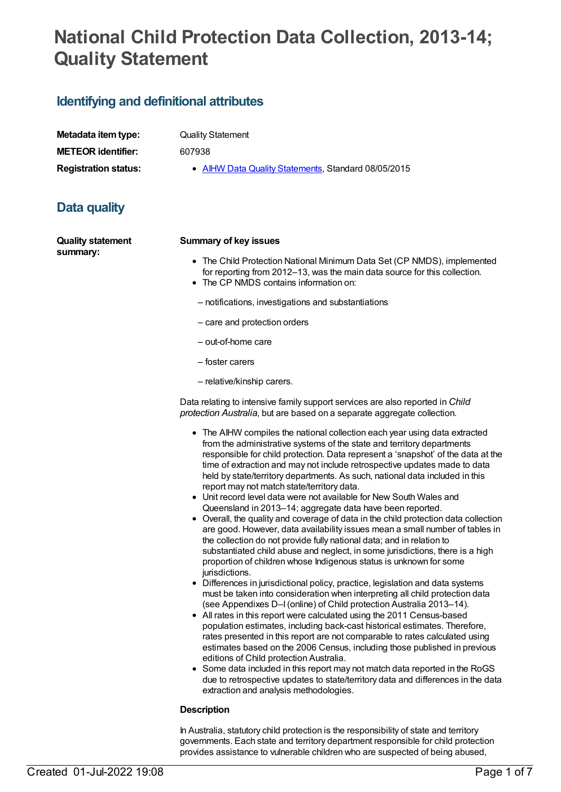# **National Child Protection Data Collection, 2013-14; Quality Statement**

# **Identifying and definitional attributes**

| Metadata item type:         |
|-----------------------------|
| <b>METEOR identifier:</b>   |
| <b>Registration status:</b> |

**Quality Statement** 

**METEOR identifier:** 607938

**AIHW Data Quality [Statements](https://meteor.aihw.gov.au/RegistrationAuthority/5), Standard 08/05/2015** 

# **Data quality**

**Quality statement summary:**

### **Summary of key issues**

- The Child Protection National Minimum Data Set (CP NMDS), implemented for reporting from 2012–13, was the main data source for this collection.
- The CP NMDS contains information on:
- notifications, investigations and substantiations
- care and protection orders
- out-of-home care
- foster carers
- relative/kinship carers.

Data relating to intensive family support services are also reported in *Child protection Australia*, but are based on a separate aggregate collection.

- The AIHW compiles the national collection each vear using data extracted from the administrative systems of the state and territory departments responsible for child protection. Data represent a 'snapshot' of the data at the time of extraction and may not include retrospective updates made to data held by state/territory departments. As such, national data included in this report may not match state/territory data.
- Unit record level data were not available for New South Wales and Queensland in 2013–14; aggregate data have been reported.
- Overall, the quality and coverage of data in the child protection data collection are good. However, data availability issues mean a small number of tables in the collection do not provide fully national data; and in relation to substantiated child abuse and neglect, in some jurisdictions, there is a high proportion of children whose Indigenous status is unknown for some jurisdictions.
- Differences in jurisdictional policy, practice, legislation and data systems must be taken into consideration when interpreting all child protection data (see Appendixes D–I(online) of Child protection Australia 2013–14).
- All rates in this report were calculated using the 2011 Census-based population estimates, including back-cast historical estimates. Therefore, rates presented in this report are not comparable to rates calculated using estimates based on the 2006 Census, including those published in previous editions of Child protection Australia.
- Some data included in this report may not match data reported in the RoGS due to retrospective updates to state/territory data and differences in the data extraction and analysis methodologies.

### **Description**

In Australia, statutory child protection is the responsibility of state and territory governments. Each state and territory department responsible for child protection provides assistance to vulnerable children who are suspected of being abused,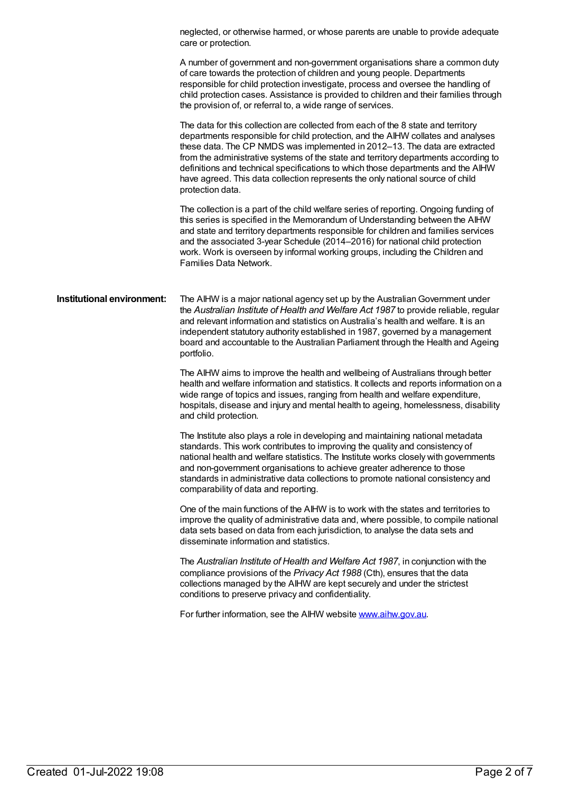|                            | neglected, or otherwise harmed, or whose parents are unable to provide adequate<br>care or protection.                                                                                                                                                                                                                                                                                                                                                                                                                               |
|----------------------------|--------------------------------------------------------------------------------------------------------------------------------------------------------------------------------------------------------------------------------------------------------------------------------------------------------------------------------------------------------------------------------------------------------------------------------------------------------------------------------------------------------------------------------------|
|                            | A number of government and non-government organisations share a common duty<br>of care towards the protection of children and young people. Departments<br>responsible for child protection investigate, process and oversee the handling of<br>child protection cases. Assistance is provided to children and their families through<br>the provision of, or referral to, a wide range of services.                                                                                                                                 |
|                            | The data for this collection are collected from each of the 8 state and territory<br>departments responsible for child protection, and the AIHW collates and analyses<br>these data. The CP NMDS was implemented in 2012-13. The data are extracted<br>from the administrative systems of the state and territory departments according to<br>definitions and technical specifications to which those departments and the AIHW<br>have agreed. This data collection represents the only national source of child<br>protection data. |
|                            | The collection is a part of the child welfare series of reporting. Ongoing funding of<br>this series is specified in the Memorandum of Understanding between the AIHW<br>and state and territory departments responsible for children and families services<br>and the associated 3-year Schedule (2014-2016) for national child protection<br>work. Work is overseen by informal working groups, including the Children and<br>Families Data Network.                                                                               |
| Institutional environment: | The AIHW is a major national agency set up by the Australian Government under<br>the Australian Institute of Health and Welfare Act 1987 to provide reliable, regular<br>and relevant information and statistics on Australia's health and welfare. It is an<br>independent statutory authority established in 1987, governed by a management<br>board and accountable to the Australian Parliament through the Health and Ageing<br>portfolio.                                                                                      |
|                            | The AIHW aims to improve the health and wellbeing of Australians through better<br>health and welfare information and statistics. It collects and reports information on a<br>wide range of topics and issues, ranging from health and welfare expenditure,<br>hospitals, disease and injury and mental health to ageing, homelessness, disability<br>and child protection.                                                                                                                                                          |
|                            | The Institute also plays a role in developing and maintaining national metadata<br>standards. This work contributes to improving the quality and consistency of<br>national health and welfare statistics. The Institute works closely with governments<br>and non-government organisations to achieve greater adherence to those<br>standards in administrative data collections to promote national consistency and<br>comparability of data and reporting.                                                                        |
|                            | One of the main functions of the AIHW is to work with the states and territories to<br>improve the quality of administrative data and, where possible, to compile national<br>data sets based on data from each jurisdiction, to analyse the data sets and<br>disseminate information and statistics.                                                                                                                                                                                                                                |
|                            | The Australian Institute of Health and Welfare Act 1987, in conjunction with the<br>compliance provisions of the Privacy Act 1988 (Cth), ensures that the data<br>collections managed by the AIHW are kept securely and under the strictest<br>conditions to preserve privacy and confidentiality.                                                                                                                                                                                                                                   |
|                            | For further information, see the AIHW website www.aihw.gov.au.                                                                                                                                                                                                                                                                                                                                                                                                                                                                       |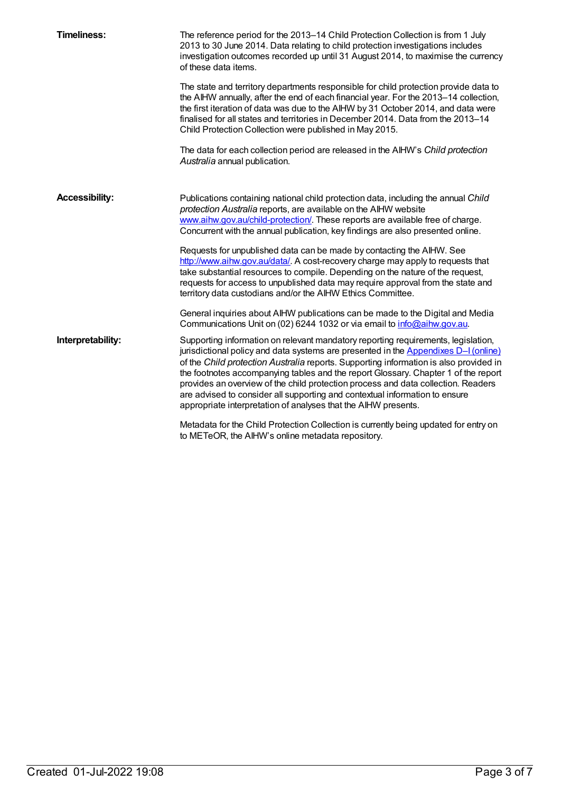| <b>Timeliness:</b>    | The reference period for the 2013-14 Child Protection Collection is from 1 July<br>2013 to 30 June 2014. Data relating to child protection investigations includes<br>investigation outcomes recorded up until 31 August 2014, to maximise the currency<br>of these data items.                                                                                                                                                                                                                                                                                                               |
|-----------------------|-----------------------------------------------------------------------------------------------------------------------------------------------------------------------------------------------------------------------------------------------------------------------------------------------------------------------------------------------------------------------------------------------------------------------------------------------------------------------------------------------------------------------------------------------------------------------------------------------|
|                       | The state and territory departments responsible for child protection provide data to<br>the AIHW annually, after the end of each financial year. For the 2013-14 collection,<br>the first iteration of data was due to the AIHW by 31 October 2014, and data were<br>finalised for all states and territories in December 2014. Data from the 2013-14<br>Child Protection Collection were published in May 2015.                                                                                                                                                                              |
|                       | The data for each collection period are released in the AIHW's Child protection<br>Australia annual publication.                                                                                                                                                                                                                                                                                                                                                                                                                                                                              |
| <b>Accessibility:</b> | Publications containing national child protection data, including the annual Child<br>protection Australia reports, are available on the AIHW website<br>www.aihw.gov.au/child-protection/. These reports are available free of charge.<br>Concurrent with the annual publication, key findings are also presented online.                                                                                                                                                                                                                                                                    |
|                       | Requests for unpublished data can be made by contacting the AIHW. See<br>http://www.aihw.gov.au/data/. A cost-recovery charge may apply to requests that<br>take substantial resources to compile. Depending on the nature of the request,<br>requests for access to unpublished data may require approval from the state and<br>territory data custodians and/or the AIHW Ethics Committee.                                                                                                                                                                                                  |
|                       | General inquiries about AIHW publications can be made to the Digital and Media<br>Communications Unit on (02) 6244 1032 or via email to info@aihw.gov.au.                                                                                                                                                                                                                                                                                                                                                                                                                                     |
| Interpretability:     | Supporting information on relevant mandatory reporting requirements, legislation,<br>jurisdictional policy and data systems are presented in the Appendixes D-I (online)<br>of the Child protection Australia reports. Supporting information is also provided in<br>the footnotes accompanying tables and the report Glossary. Chapter 1 of the report<br>provides an overview of the child protection process and data collection. Readers<br>are advised to consider all supporting and contextual information to ensure<br>appropriate interpretation of analyses that the AIHW presents. |
|                       | Metadata for the Child Protection Collection is currently being updated for entry on<br>to METeOR, the AIHW's online metadata repository.                                                                                                                                                                                                                                                                                                                                                                                                                                                     |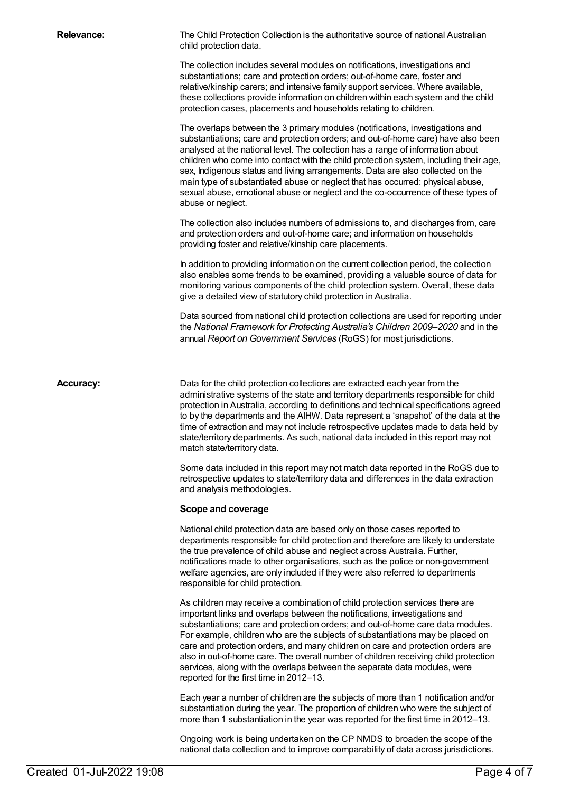**Relevance:** The Child Protection Collection is the authoritative source of national Australian child protection data.

> The collection includes several modules on notifications, investigations and substantiations; care and protection orders; out-of-home care, foster and relative/kinship carers; and intensive family support services. Where available, these collections provide information on children within each system and the child protection cases, placements and households relating to children.

The overlaps between the 3 primary modules (notifications, investigations and substantiations; care and protection orders; and out-of-home care) have also been analysed at the national level. The collection has a range of information about children who come into contact with the child protection system, including their age, sex, Indigenous status and living arrangements. Data are also collected on the main type of substantiated abuse or neglect that has occurred: physical abuse, sexual abuse, emotional abuse or neglect and the co-occurrence of these types of abuse or neglect.

The collection also includes numbers of admissions to, and discharges from, care and protection orders and out-of-home care; and information on households providing foster and relative/kinship care placements.

In addition to providing information on the current collection period, the collection also enables some trends to be examined, providing a valuable source of data for monitoring various components of the child protection system. Overall, these data give a detailed view of statutory child protection in Australia.

Data sourced from national child protection collections are used for reporting under the *National Framework for Protecting Australia's Children 2009–2020* and in the annual *Report on Government Services* (RoGS) for most jurisdictions.

**Accuracy:** Data for the child protection collections are extracted each year from the administrative systems of the state and territory departments responsible for child protection in Australia, according to definitions and technical specifications agreed to by the departments and the AIHW. Data represent a 'snapshot' of the data at the time of extraction and may not include retrospective updates made to data held by state/territory departments. As such, national data included in this report may not match state/territory data.

> Some data included in this report may not match data reported in the RoGS due to retrospective updates to state/territory data and differences in the data extraction and analysis methodologies.

### **Scope and coverage**

National child protection data are based only on those cases reported to departments responsible for child protection and therefore are likely to understate the true prevalence of child abuse and neglect across Australia. Further, notifications made to other organisations, such as the police or non-government welfare agencies, are only included if they were also referred to departments responsible for child protection.

As children may receive a combination of child protection services there are important links and overlaps between the notifications, investigations and substantiations; care and protection orders; and out-of-home care data modules. For example, children who are the subjects of substantiations may be placed on care and protection orders, and many children on care and protection orders are also in out-of-home care. The overall number of children receiving child protection services, along with the overlaps between the separate data modules, were reported for the first time in 2012–13.

Each year a number of children are the subjects of more than 1 notification and/or substantiation during the year. The proportion of children who were the subject of more than 1 substantiation in the year was reported for the first time in 2012–13.

Ongoing work is being undertaken on the CP NMDS to broaden the scope of the national data collection and to improve comparability of data across jurisdictions.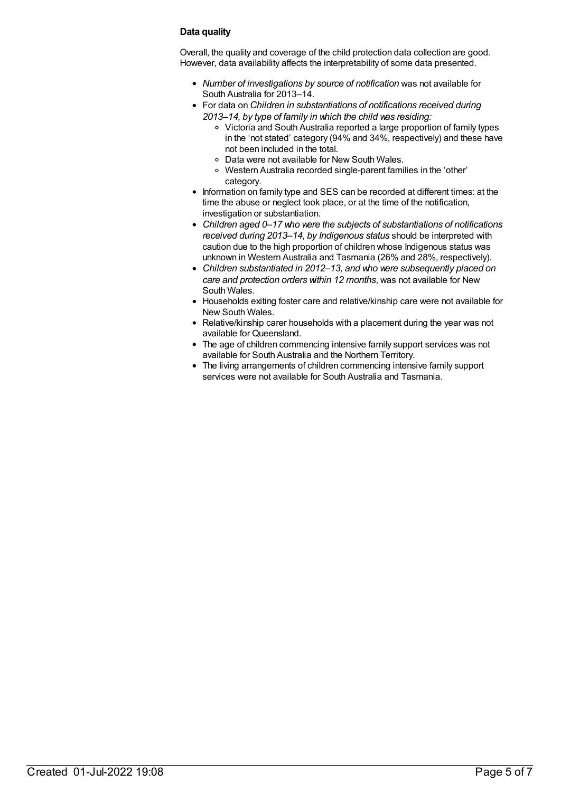### **Data quality**

Overall, the quality and coverage of the child protection data collection are good. However, data availability affects the interpretability of some data presented.

- *Number of investigations by source of notification* was not available for South Australia for 2013–14.
- For data on *Children in substantiations of notifications received during 2013–14, by type of family in which the child was residing:*
	- Victoria and South Australia reported a large proportion of family types in the 'not stated' category (94% and 34%, respectively) and these have not been included in the total.
	- Data were not available for New South Wales.
	- Western Australia recorded single-parent families in the 'other' category.
- Information on family type and SES can be recorded at different times: at the time the abuse or neglect took place, or at the time of the notification, investigation or substantiation.
- *Children aged 0–17 who were the subjects of substantiations of notifications received during 2013–14, by Indigenous status* should be interpreted with caution due to the high proportion of children whose Indigenous status was unknown in Western Australia and Tasmania (26% and 28%, respectively).
- *Children substantiated in 2012–13, and who were subsequently placed on care and protection orders within 12 months*, was not available for New South Wales.
- Households exiting foster care and relative/kinship care were not available for New South Wales.
- Relative/kinship carer households with a placement during the year was not available for Queensland.
- The age of children commencing intensive family support services was not available for South Australia and the Northern Territory.
- The living arrangements of children commencing intensive family support services were not available for South Australia and Tasmania.